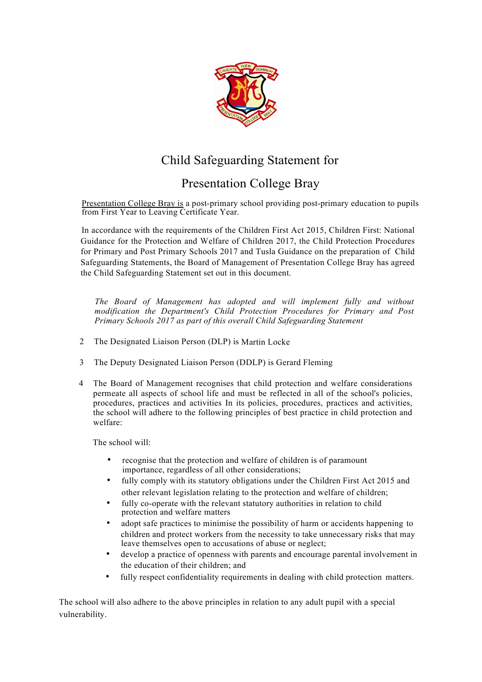

## Child Safeguarding Statement for

## Presentation College Bray

Presentation College Bray is a post-primary school providing post-primary education to pupils from First Year to Leaving Certificate Year.

In accordance with the requirements of the Children First Act 2015, Children First: National Guidance for the Protection and Welfare of Children 2017, the Child Protection Procedures for Primary and Post Primary Schools 2017 and Tusla Guidance on the preparation of Child Safeguarding Statements, the Board of Management of Presentation College Bray has agreed the Child Safeguarding Statement set out in this document.

*The Board of Management has adopted and will implement fully and without modification the Department's Child Protection Procedures for Primary and Post Primary Schools 2017 as part of this overall Child Safeguarding Statement*

- 2 The Designated Liaison Person (DLP) is Martin Locke
- 3 The Deputy Designated Liaison Person (DDLP) is Gerard Fleming
- 4 The Board of Management recognises that child protection and welfare considerations permeate all aspects of school life and must be reflected in all of the school's policies, procedures, practices and activities In its policies, procedures, practices and activities, the school will adhere to the following principles of best practice in child protection and welfare:

The school will:

- recognise that the protection and welfare of children is of paramount importance, regardless of all other considerations;
- fully comply with its statutory obligations under the Children First Act 2015 and other relevant legislation relating to the protection and welfare of children;
- fully co-operate with the relevant statutory authorities in relation to child protection and welfare matters
- adopt safe practices to minimise the possibility of harm or accidents happening to children and protect workers from the necessity to take unnecessary risks that may leave themselves open to accusations of abuse or neglect;
- develop a practice of openness with parents and encourage parental involvement in the education of their children; and
- fully respect confidentiality requirements in dealing with child protection matters.

The school will also adhere to the above principles in relation to any adult pupil with a special vulnerability.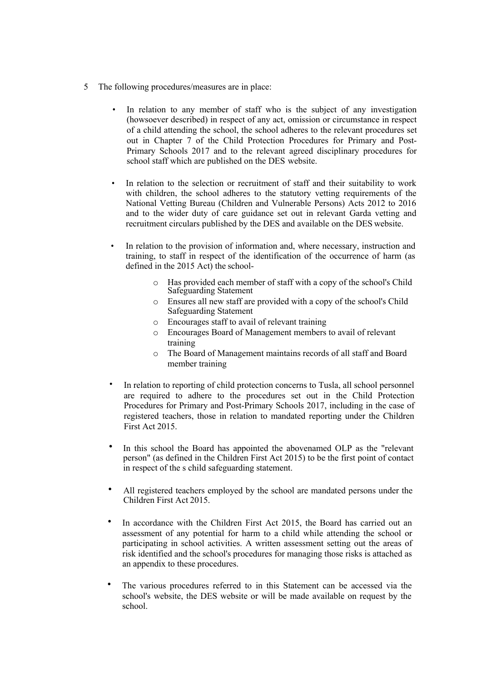- 5 The following procedures/measures are in place:
	- In relation to any member of staff who is the subject of any investigation (howsoever described) in respect of any act, omission or circumstance in respect of a child attending the school, the school adheres to the relevant procedures set out in Chapter 7 of the Child Protection Procedures for Primary and Post-Primary Schools 2017 and to the relevant agreed disciplinary procedures for school staff which are published on the DES website.
	- In relation to the selection or recruitment of staff and their suitability to work with children, the school adheres to the statutory vetting requirements of the National Vetting Bureau (Children and Vulnerable Persons) Acts 2012 to 2016 and to the wider duty of care guidance set out in relevant Garda vetting and recruitment circulars published by the DES and available on the DES website.
	- In relation to the provision of information and, where necessary, instruction and training, to staff in respect of the identification of the occurrence of harm (as defined in the 2015 Act) the school
		- o Has provided each member of staff with a copy of the school's Child Safeguarding Statement
		- o Ensures all new staff are provided with a copy of the school's Child Safeguarding Statement
		- o Encourages staff to avail of relevant training
		- o Encourages Board of Management members to avail of relevant training
		- o The Board of Management maintains records of all staff and Board member training
	- In relation to reporting of child protection concerns to Tusla, all school personnel are required to adhere to the procedures set out in the Child Protection Procedures for Primary and Post-Primary Schools 2017, including in the case of registered teachers, those in relation to mandated reporting under the Children First Act 2015.
	- In this school the Board has appointed the abovenamed OLP as the "relevant person" (as defined in the Children First Act 2015) to be the first point of contact in respect of the s child safeguarding statement.
	- All registered teachers employed by the school are mandated persons under the Children First Act 2015.
	- In accordance with the Children First Act 2015, the Board has carried out an assessment of any potential for harm to a child while attending the school or participating in school activities. A written assessment setting out the areas of risk identified and the school's procedures for managing those risks is attached as an appendix to these procedures.
	- The various procedures referred to in this Statement can be accessed via the school's website, the DES website or will be made available on request by the school.